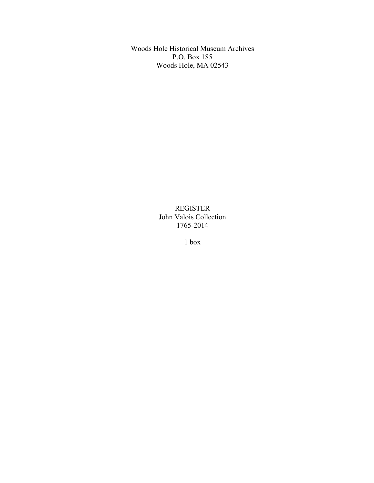Woods Hole Historical Museum Archives P.O. Box 185 Woods Hole, MA 02543

> REGISTER John Valois Collection 1765-2014

> > 1 box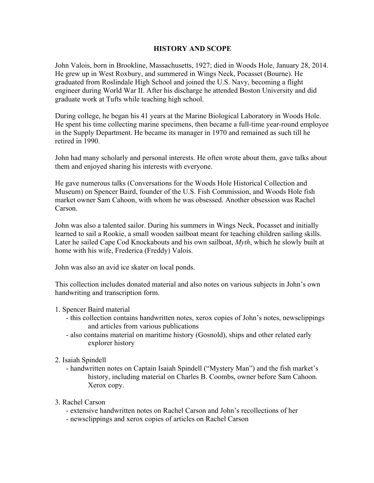## **HISTORY AND SCOPE**

John Valois, born in Brookline, Massachusetts, 1927; died in Woods Hole, January 28, 2014. He grew up in West Roxbury, and summered in Wings Neck, Pocasset (Bourne). He graduated from Roslindale High School and joined the U.S. Navy, becoming a flight engineer during World War II. After his discharge he attended Boston University and did graduate work at Tufts while teaching high school.

During college, he began his 41 years at the Marine Biological Laboratory in Woods Hole. He spent his time collecting marine specimens, then became a full-time year-round employee in the Supply Department. He became its manager in 1970 and remained as such till he retired in 1990.

John had many scholarly and personal interests. He often wrote about them, gave talks about them and enjoyed sharing his interests with everyone.

He gave numerous talks (Conversations for the Woods Hole Historical Collection and Museum) on Spencer Baird, founder of the U.S. Fish Commission, and Woods Hole fish market owner Sam Cahoon, with whom he was obsessed. Another obsession was Rachel Carson.

John was also a talented sailor. During his summers in Wings Neck, Pocasset and initially learned to sail a Rookie, a small wooden sailboat meant for teaching children sailing skills. Later he sailed Cape Cod Knockabouts and his own sailboat, *Myth*, which he slowly built at home with his wife, Frederica (Freddy) Valois.

John was also an avid ice skater on local ponds.

This collection includes donated material and also notes on various subjects in John's own handwriting and transcription form.

- 1. Spencer Baird material
	- this collection contains handwritten notes, xerox copies of John's notes, newsclippings and articles from various publications
	- also contains material on maritime history (Gosnold), ships and other related early explorer history
- 2. Isaiah Spindell
	- handwritten notes on Captain Isaiah Spindell ("Mystery Man") and the fish market's history, including material on Charles B. Coombs, owner before Sam Cahoon. Xerox copy.
- 3. Rachel Carson
	- extensive handwritten notes on Rachel Carson and John's recollections of her
	- newsclippings and xerox copies of articles on Rachel Carson